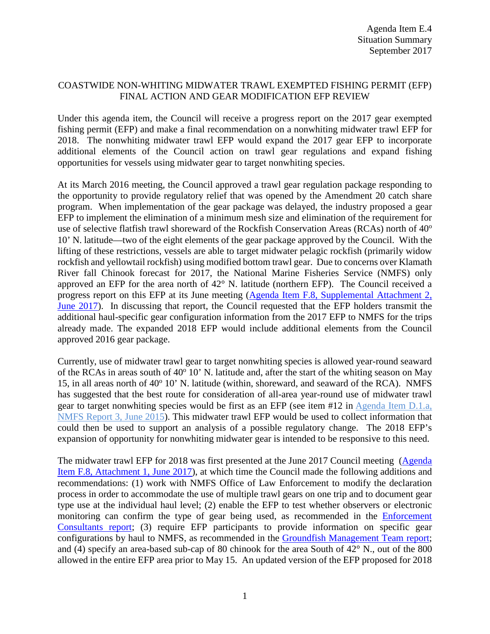## COASTWIDE NON-WHITING MIDWATER TRAWL EXEMPTED FISHING PERMIT (EFP) FINAL ACTION AND GEAR MODIFICATION EFP REVIEW

Under this agenda item, the Council will receive a progress report on the 2017 gear exempted fishing permit (EFP) and make a final recommendation on a nonwhiting midwater trawl EFP for 2018. The nonwhiting midwater trawl EFP would expand the 2017 gear EFP to incorporate additional elements of the Council action on trawl gear regulations and expand fishing opportunities for vessels using midwater gear to target nonwhiting species.

At its March 2016 meeting, the Council approved a trawl gear regulation package responding to the opportunity to provide regulatory relief that was opened by the Amendment 20 catch share program. When implementation of the gear package was delayed, the industry proposed a gear EFP to implement the elimination of a minimum mesh size and elimination of the requirement for use of selective flatfish trawl shoreward of the Rockfish Conservation Areas (RCAs) north of 40<sup>o</sup> 10' N. latitude—two of the eight elements of the gear package approved by the Council. With the lifting of these restrictions, vessels are able to target midwater pelagic rockfish (primarily widow rockfish and yellowtail rockfish) using modified bottom trawl gear. Due to concerns over Klamath River fall Chinook forecast for 2017, the National Marine Fisheries Service (NMFS) only approved an EFP for the area north of 42° N. latitude (northern EFP). The Council received a progress report on this EFP at its June meeting [\(Agenda Item F.8, Supplemental Attachment 2,](http://www.pcouncil.org/wp-content/uploads/2017/06/F8_Sup_Att2_Gear_EFP_ProgRpt_Jun2017BB.pdf)  [June 2017\)](http://www.pcouncil.org/wp-content/uploads/2017/06/F8_Sup_Att2_Gear_EFP_ProgRpt_Jun2017BB.pdf). In discussing that report, the Council requested that the EFP holders transmit the additional haul-specific gear configuration information from the 2017 EFP to NMFS for the trips already made. The expanded 2018 EFP would include additional elements from the Council approved 2016 gear package.

Currently, use of midwater trawl gear to target nonwhiting species is allowed year-round seaward of the RCAs in areas south of  $40^{\circ}$  10' N. latitude and, after the start of the whiting season on May 15, in all areas north of  $40^{\circ}$  10' N. latitude (within, shoreward, and seaward of the RCA). NMFS has suggested that the best route for consideration of all-area year-round use of midwater trawl gear to target nonwhiting species would be first as an EFP (see item #12 in [Agenda Item D.1.a,](http://www.pcouncil.org/wp-content/uploads/2015/05/D1a_NMFS_Rpt3_Packaging_JUN2015BB.pdf)  [NMFS Report 3, June 2015\)](http://www.pcouncil.org/wp-content/uploads/2015/05/D1a_NMFS_Rpt3_Packaging_JUN2015BB.pdf). This midwater trawl EFP would be used to collect information that could then be used to support an analysis of a possible regulatory change. The 2018 EFP's expansion of opportunity for nonwhiting midwater gear is intended to be responsive to this need.

The midwater trawl EFP for 2018 was first presented at the June 2017 Council meeting [\(Agenda](http://www.pcouncil.org/wp-content/uploads/2017/06/F8_Sup_Att1_MWT_EFP_ProgRep_Jun2017BB.pdf)  [Item F.8, Attachment 1, June 2017\)](http://www.pcouncil.org/wp-content/uploads/2017/06/F8_Sup_Att1_MWT_EFP_ProgRep_Jun2017BB.pdf), at which time the Council made the following additions and recommendations: (1) work with NMFS Office of Law Enforcement to modify the declaration process in order to accommodate the use of multiple trawl gears on one trip and to document gear type use at the individual haul level; (2) enable the EFP to test whether observers or electronic monitoring can confirm the type of gear being used, as recommended in the [Enforcement](http://www.pcouncil.org/wp-content/uploads/2017/06/F8a_Sup_EC_Rpt_Jun2017BB.pdf)  [Consultants](http://www.pcouncil.org/wp-content/uploads/2017/06/F8a_Sup_EC_Rpt_Jun2017BB.pdf) report; (3) require EFP participants to provide information on specific gear configurations by haul to NMFS, as recommended in the [Groundfish Management Team report;](http://www.pcouncil.org/wp-content/uploads/2017/06/F8a_Sup_GMT_Rpt_Jun2017BB-1.pdf) and (4) specify an area-based sub-cap of 80 chinook for the area South of  $42^{\circ}$  N., out of the 800 allowed in the entire EFP area prior to May 15. An updated version of the EFP proposed for 2018